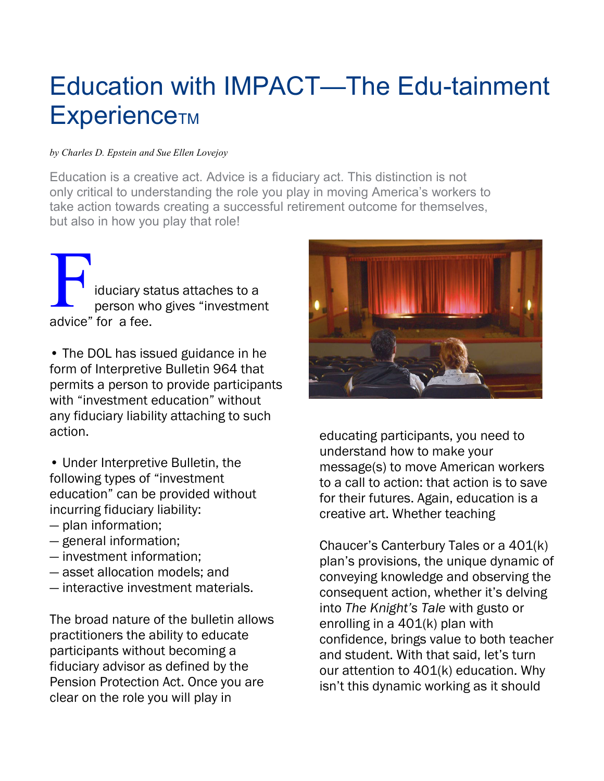# Education with IMPACT—The Edu-tainment **ExperienceTM**

#### by Charles D. Epstein and Sue Ellen Lovejoy

Education is a creative act. Advice is a fiduciary act. This distinction is not only critical to understanding the role you play in moving America's workers to take action towards creating a successful retirement outcome for themselves, but also in how you play that role!

iduciary status attaches to a person who gives "investment advice" for a fee. F

• The DOL has issued guidance in he form of Interpretive Bulletin 964 that permits a person to provide participants with "investment education" without any fiduciary liability attaching to such action.

• Under Interpretive Bulletin, the following types of "investment education" can be provided without incurring fiduciary liability:

- plan information;
- general information;
- investment information;
- asset allocation models; and
- interactive investment materials.

The broad nature of the bulletin allows practitioners the ability to educate participants without becoming a fiduciary advisor as defined by the Pension Protection Act. Once you are clear on the role you will play in



educating participants, you need to understand how to make your message(s) to move American workers to a call to action: that action is to save for their futures. Again, education is a creative art. Whether teaching

Chaucer's Canterbury Tales or a 401(k) plan's provisions, the unique dynamic of conveying knowledge and observing the consequent action, whether it's delving into The Knight's Tale with gusto or enrolling in a 401(k) plan with confidence, brings value to both teacher and student. With that said, let's turn our attention to 401(k) education. Why isn't this dynamic working as it should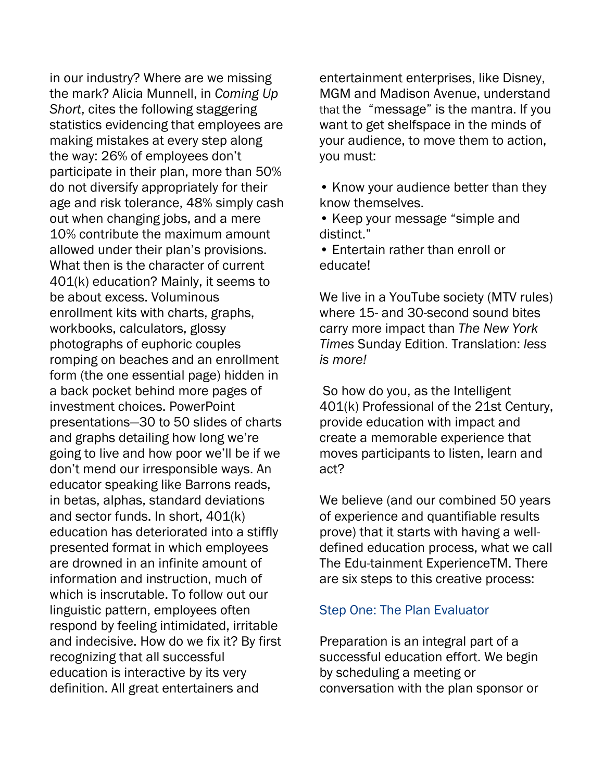in our industry? Where are we missing the mark? Alicia Munnell, in Coming Up Short, cites the following staggering statistics evidencing that employees are making mistakes at every step along the way: 26% of employees don't participate in their plan, more than 50% do not diversify appropriately for their age and risk tolerance, 48% simply cash out when changing jobs, and a mere 10% contribute the maximum amount allowed under their plan's provisions. What then is the character of current 401(k) education? Mainly, it seems to be about excess. Voluminous enrollment kits with charts, graphs, workbooks, calculators, glossy photographs of euphoric couples romping on beaches and an enrollment form (the one essential page) hidden in a back pocket behind more pages of investment choices. PowerPoint presentations—30 to 50 slides of charts and graphs detailing how long we're going to live and how poor we'll be if we don't mend our irresponsible ways. An educator speaking like Barrons reads, in betas, alphas, standard deviations and sector funds. In short, 401(k) education has deteriorated into a stiffly presented format in which employees are drowned in an infinite amount of information and instruction, much of which is inscrutable. To follow out our linguistic pattern, employees often respond by feeling intimidated, irritable and indecisive. How do we fix it? By first recognizing that all successful education is interactive by its very definition. All great entertainers and

entertainment enterprises, like Disney, MGM and Madison Avenue, understand that the "message" is the mantra. If you want to get shelfspace in the minds of your audience, to move them to action, you must:

• Know your audience better than they know themselves.

• Keep your message "simple and distinct."

• Entertain rather than enroll or educate!

We live in a YouTube society (MTV rules) where 15- and 30-second sound bites carry more impact than The New York Times Sunday Edition. Translation: less is more!

So how do you, as the Intelligent 401(k) Professional of the 21st Century, provide education with impact and create a memorable experience that moves participants to listen, learn and act?

We believe (and our combined 50 years of experience and quantifiable results prove) that it starts with having a welldefined education process, what we call The Edu-tainment ExperienceTM. There are six steps to this creative process:

#### Step One: The Plan Evaluator

Preparation is an integral part of a successful education effort. We begin by scheduling a meeting or conversation with the plan sponsor or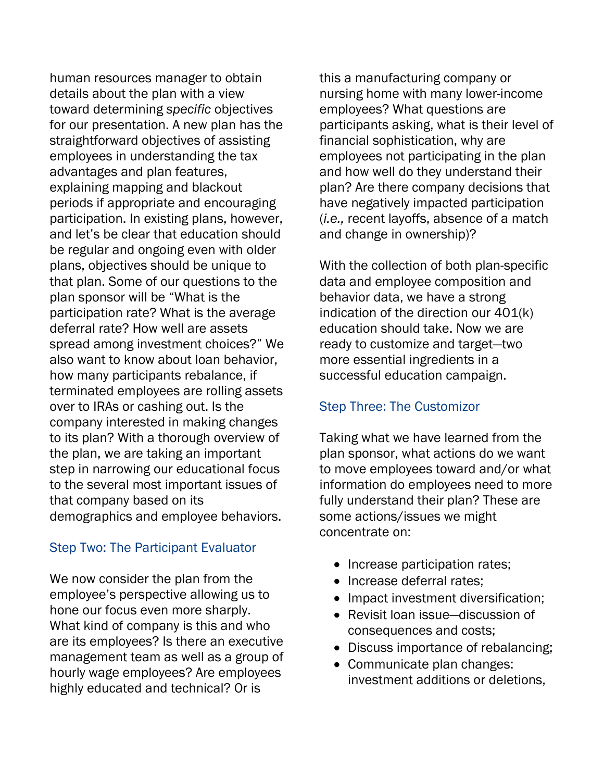human resources manager to obtain details about the plan with a view toward determining specific objectives for our presentation. A new plan has the straightforward objectives of assisting employees in understanding the tax advantages and plan features, explaining mapping and blackout periods if appropriate and encouraging participation. In existing plans, however, and let's be clear that education should be regular and ongoing even with older plans, objectives should be unique to that plan. Some of our questions to the plan sponsor will be "What is the participation rate? What is the average deferral rate? How well are assets spread among investment choices?" We also want to know about loan behavior, how many participants rebalance, if terminated employees are rolling assets over to IRAs or cashing out. Is the company interested in making changes to its plan? With a thorough overview of the plan, we are taking an important step in narrowing our educational focus to the several most important issues of that company based on its demographics and employee behaviors.

### Step Two: The Participant Evaluator

We now consider the plan from the employee's perspective allowing us to hone our focus even more sharply. What kind of company is this and who are its employees? Is there an executive management team as well as a group of hourly wage employees? Are employees highly educated and technical? Or is

this a manufacturing company or nursing home with many lower-income employees? What questions are participants asking, what is their level of financial sophistication, why are employees not participating in the plan and how well do they understand their plan? Are there company decisions that have negatively impacted participation (i.e., recent layoffs, absence of a match and change in ownership)?

With the collection of both plan-specific data and employee composition and behavior data, we have a strong indication of the direction our 401(k) education should take. Now we are ready to customize and target—two more essential ingredients in a successful education campaign.

#### Step Three: The Customizor

Taking what we have learned from the plan sponsor, what actions do we want to move employees toward and/or what information do employees need to more fully understand their plan? These are some actions/issues we might concentrate on:

- Increase participation rates;
- Increase deferral rates:
- Impact investment diversification;
- Revisit loan issue—discussion of consequences and costs;
- Discuss importance of rebalancing;
- Communicate plan changes: investment additions or deletions,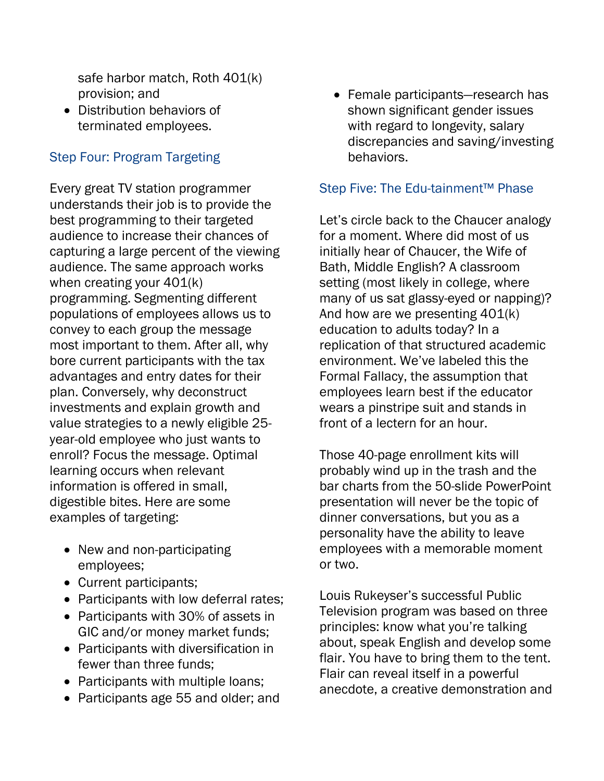safe harbor match, Roth 401(k) provision; and

• Distribution behaviors of terminated employees.

## Step Four: Program Targeting

Every great TV station programmer understands their job is to provide the best programming to their targeted audience to increase their chances of capturing a large percent of the viewing audience. The same approach works when creating your 401(k) programming. Segmenting different populations of employees allows us to convey to each group the message most important to them. After all, why bore current participants with the tax advantages and entry dates for their plan. Conversely, why deconstruct investments and explain growth and value strategies to a newly eligible 25 year-old employee who just wants to enroll? Focus the message. Optimal learning occurs when relevant information is offered in small, digestible bites. Here are some examples of targeting:

- New and non-participating employees;
- Current participants;
- Participants with low deferral rates;
- Participants with 30% of assets in GIC and/or money market funds;
- Participants with diversification in fewer than three funds;
- Participants with multiple loans;
- Participants age 55 and older; and

• Female participants—research has shown significant gender issues with regard to longevity, salary discrepancies and saving/investing behaviors.

#### Step Five: The Edu-tainment™ Phase

Let's circle back to the Chaucer analogy for a moment. Where did most of us initially hear of Chaucer, the Wife of Bath, Middle English? A classroom setting (most likely in college, where many of us sat glassy-eyed or napping)? And how are we presenting 401(k) education to adults today? In a replication of that structured academic environment. We've labeled this the Formal Fallacy, the assumption that employees learn best if the educator wears a pinstripe suit and stands in front of a lectern for an hour.

Those 40-page enrollment kits will probably wind up in the trash and the bar charts from the 50-slide PowerPoint presentation will never be the topic of dinner conversations, but you as a personality have the ability to leave employees with a memorable moment or two.

Louis Rukeyser's successful Public Television program was based on three principles: know what you're talking about, speak English and develop some flair. You have to bring them to the tent. Flair can reveal itself in a powerful anecdote, a creative demonstration and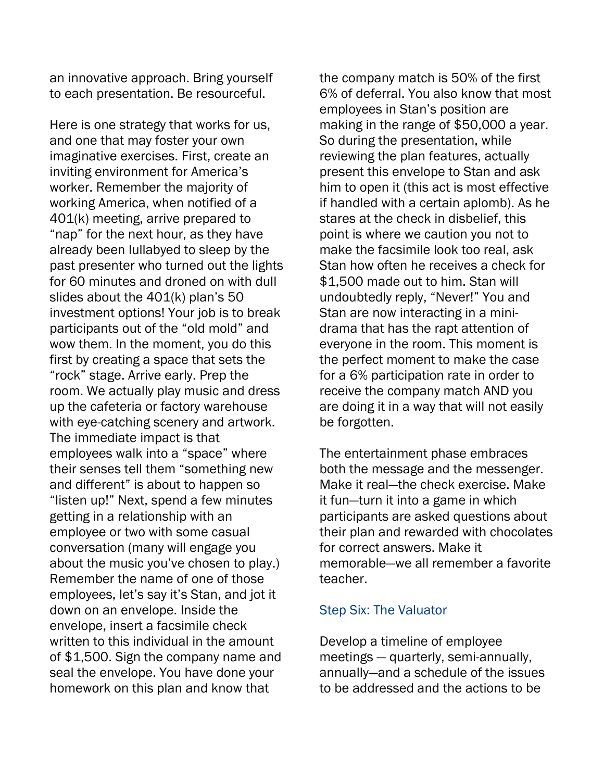an innovative approach. Bring yourself to each presentation. Be resourceful.

Here is one strategy that works for us, and one that may foster your own imaginative exercises. First, create an inviting environment for America's worker. Remember the majority of working America, when notified of a 401(k) meeting, arrive prepared to "nap" for the next hour, as they have already been lullabyed to sleep by the past presenter who turned out the lights for 60 minutes and droned on with dull slides about the 401(k) plan's 50 investment options! Your job is to break participants out of the "old mold" and wow them. In the moment, you do this first by creating a space that sets the "rock" stage. Arrive early. Prep the room. We actually play music and dress up the cafeteria or factory warehouse with eye-catching scenery and artwork. The immediate impact is that employees walk into a "space" where their senses tell them "something new and different" is about to happen so "listen up!" Next, spend a few minutes getting in a relationship with an employee or two with some casual conversation (many will engage you about the music you've chosen to play.) Remember the name of one of those employees, let's say it's Stan, and jot it down on an envelope. Inside the envelope, insert a facsimile check written to this individual in the amount of \$1,500. Sign the company name and seal the envelope. You have done your homework on this plan and know that

the company match is 50% of the first 6% of deferral. You also know that most employees in Stan's position are making in the range of \$50,000 a year. So during the presentation, while reviewing the plan features, actually present this envelope to Stan and ask him to open it (this act is most effective if handled with a certain aplomb). As he stares at the check in disbelief, this point is where we caution you not to make the facsimile look too real, ask Stan how often he receives a check for \$1,500 made out to him. Stan will undoubtedly reply, "Never!" You and Stan are now interacting in a minidrama that has the rapt attention of everyone in the room. This moment is the perfect moment to make the case for a 6% participation rate in order to receive the company match AND you are doing it in a way that will not easily be forgotten.

The entertainment phase embraces both the message and the messenger. Make it real—the check exercise. Make it fun—turn it into a game in which participants are asked questions about their plan and rewarded with chocolates for correct answers. Make it memorable—we all remember a favorite teacher.

#### Step Six: The Valuator

Develop a timeline of employee meetings — quarterly, semi-annually, annually—and a schedule of the issues to be addressed and the actions to be